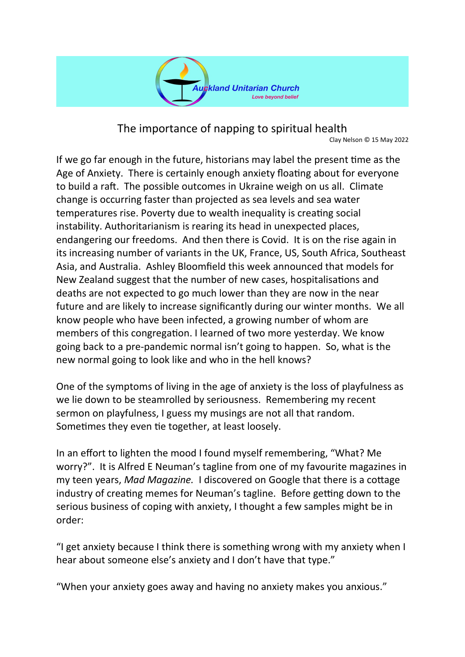

The importance of napping to spiritual health

Clay Nelson © 15 May 2022

If we go far enough in the future, historians may label the present time as the Age of Anxiety. There is certainly enough anxiety floating about for everyone to build a raft. The possible outcomes in Ukraine weigh on us all. Climate change is occurring faster than projected as sea levels and sea water temperatures rise. Poverty due to wealth inequality is creating social instability. Authoritarianism is rearing its head in unexpected places, endangering our freedoms. And then there is Covid. It is on the rise again in its increasing number of variants in the UK, France, US, South Africa, Southeast Asia, and Australia. Ashley Bloomfield this week announced that models for New Zealand suggest that the number of new cases, hospitalisations and deaths are not expected to go much lower than they are now in the near future and are likely to increase significantly during our winter months. We all know people who have been infected, a growing number of whom are members of this congregation. I learned of two more yesterday. We know going back to a pre-pandemic normal isn't going to happen. So, what is the new normal going to look like and who in the hell knows?

One of the symptoms of living in the age of anxiety is the loss of playfulness as we lie down to be steamrolled by seriousness. Remembering my recent sermon on playfulness, I guess my musings are not all that random. Sometimes they even tie together, at least loosely.

In an effort to lighten the mood I found myself remembering, "What? Me worry?". It is Alfred E Neuman's tagline from one of my favourite magazines in my teen years, *Mad Magazine.* I discovered on Google that there is a cottage industry of creating memes for Neuman's tagline. Before getting down to the serious business of coping with anxiety, I thought a few samples might be in order:

"I get anxiety because I think there is something wrong with my anxiety when I hear about someone else's anxiety and I don't have that type."

"When your anxiety goes away and having no anxiety makes you anxious."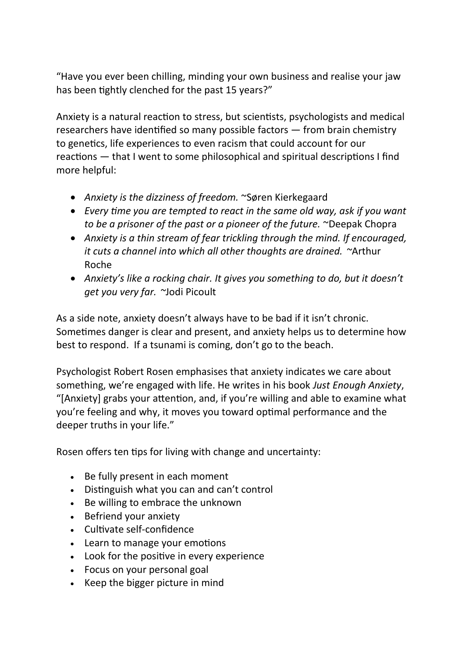"Have you ever been chilling, minding your own business and realise your jaw has been tightly clenched for the past 15 years?"

Anxiety is a natural reaction to stress, but scientists, psychologists and medical researchers have identified so many possible factors — from brain chemistry to genetics, life experiences to even racism that could account for our reactions — that I went to some philosophical and spiritual descriptions I find more helpful:

- *Anxiety is the dizziness of freedom.* ~Søren Kierkegaard
- *Every time you are tempted to react in the same old way, ask if you want to be a prisoner of the past or a pioneer of the future.* ~Deepak Chopra
- *Anxiety is a thin stream of fear trickling through the mind. If encouraged, it cuts a channel into which all other thoughts are drained. ~*Arthur Roche
- *Anxiety's like a rocking chair. It gives you something to do, but it doesn't get you very far. ~*Jodi Picoult

As a side note, anxiety doesn't always have to be bad if it isn't chronic. Sometimes danger is clear and present, and anxiety helps us to determine how best to respond. If a tsunami is coming, don't go to the beach.

Psychologist Robert Rosen emphasises that anxiety indicates we care about something, we're engaged with life. He writes in his book *Just Enough Anxiety*, "[Anxiety] grabs your attention, and, if you're willing and able to examine what you're feeling and why, it moves you toward optimal performance and the deeper truths in your life."

Rosen offers ten tips for living with change and uncertainty:

- Be fully present in each moment
- Distinguish what you can and can't control
- Be willing to embrace the unknown
- Befriend your anxiety
- Cultivate self-confidence
- Learn to manage your emotions
- Look for the positive in every experience
- Focus on your personal goal
- Keep the bigger picture in mind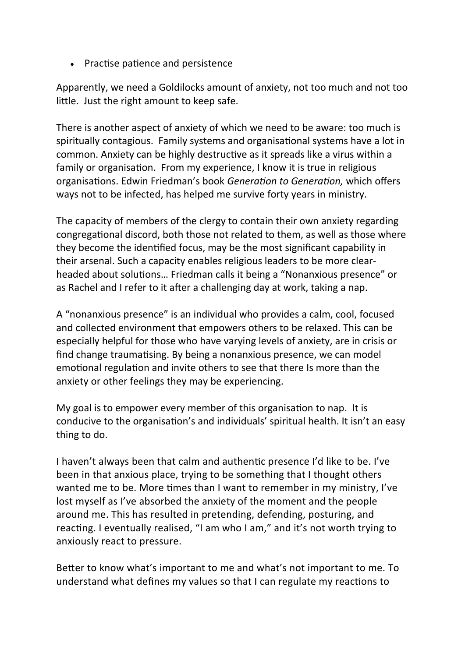• Practise patience and persistence

Apparently, we need a Goldilocks amount of anxiety, not too much and not too little. Just the right amount to keep safe.

There is another aspect of anxiety of which we need to be aware: too much is spiritually contagious. Family systems and organisational systems have a lot in common. Anxiety can be highly destructive as it spreads like a virus within a family or organisation. From my experience, I know it is true in religious organisations. Edwin Friedman's book *Generation to Generation,* which offers ways not to be infected, has helped me survive forty years in ministry.

The capacity of members of the clergy to contain their own anxiety regarding congregational discord, both those not related to them, as well as those where they become the identified focus, may be the most significant capability in their arsenal. Such a capacity enables religious leaders to be more clearheaded about solutions… Friedman calls it being a "Nonanxious presence" or as Rachel and I refer to it after a challenging day at work, taking a nap.

A "nonanxious presence" is an individual who provides a calm, cool, focused and collected environment that empowers others to be relaxed. This can be especially helpful for those who have varying levels of anxiety, are in crisis or find change traumatising. By being a nonanxious presence, we can model emotional regulation and invite others to see that there Is more than the anxiety or other feelings they may be experiencing.

My goal is to empower every member of this organisation to nap. It is conducive to the organisation's and individuals' spiritual health. It isn't an easy thing to do.

I haven't always been that calm and authentic presence I'd like to be. I've been in that anxious place, trying to be something that I thought others wanted me to be. More times than I want to remember in my ministry, I've lost myself as I've absorbed the anxiety of the moment and the people around me. This has resulted in pretending, defending, posturing, and reacting. I eventually realised, "I am who I am," and it's not worth trying to anxiously react to pressure.

Better to know what's important to me and what's not important to me. To understand what defines my values so that I can regulate my reactions to